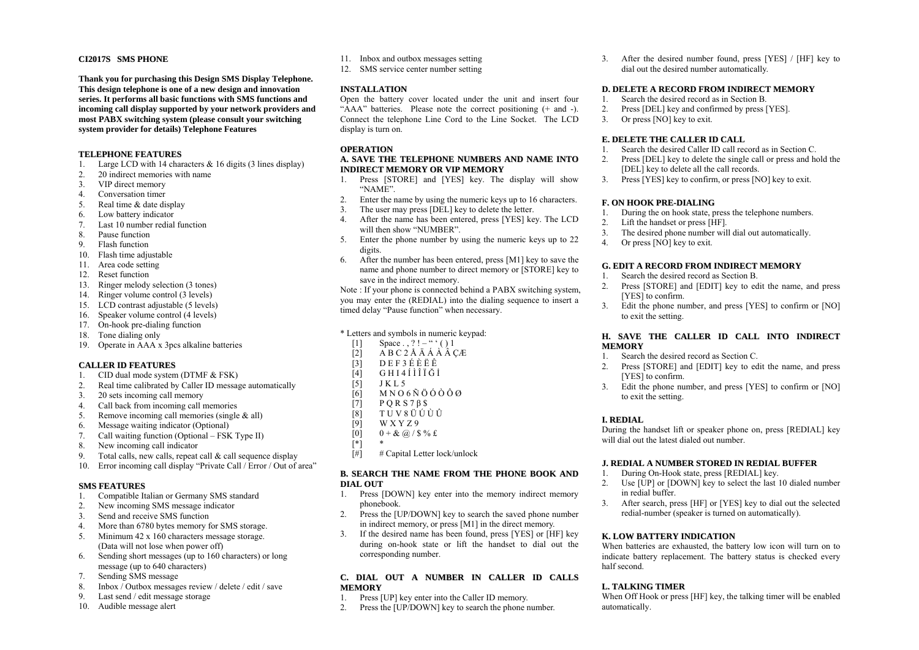#### **CI2017S SMS PHONE**

**Thank you for purchasing this Design SMS Display Telephone. This design telephone is one of a new design and innovation series. It performs all basic functions with SMS functions and incoming call display supported by your network providers and most PABX switching system (please consult your switching system provider for details) Telephone Features** 

### **TELEPHONEFEATURES**

- Large LCD with 14 characters  $& 16$  digits (3 lines display) 1.
- 2.20 indirect memories with name
- 3.VIP direct memory
- 4.Conversation timer
- 5.Real time & date display
- 6.Low battery indicator
- 7.Last 10 number redial function
- 8.Pause function
- 9.Flash function
- 10.Flash time adjustable
- 11.Area code setting
- 12. Reset function
- 13. Ringer melody selection (3 tones)
- 14.Ringer volume control (3 levels)
- 15. LCD contrast adjustable (5 levels)
- 16. Speaker volume control (4 levels)
- 17. On-hook pre-dialing function
- 18. Tone dialing only
- 19. Operate in AAA x 3pcs alkaline batteries

#### **CALLER ID FEATURES**

- CID dual mode system (DTMF & FSK) 1.
- 2.Real time calibrated by Caller ID message automatically
- 3.20 sets incoming call memory
- 4.Call back from incoming call memories
- 5.Remove incoming call memories (single & all)
- 6.Message waiting indicator (Optional)
- 7.Call waiting function (Optional – FSK Type II)
- 8.New incoming call indicator
- 9.Total calls, new calls, repeat call & call sequence display
- 10.Error incoming call display "Private Call / Error / Out of area"

#### **SMS FEATURES**

- Compatible Italian or Germany SMS standard 1.
- 2.New incoming SMS message indicator
- 3.Send and receive SMS function
- 4. More than 6780 bytes memory for SMS storage. 5.Minimum 42 x 160 characters message storage.
- (Data will not lose when power off)
- 6. Sending short messages (up to 160 characters) or long message (up to 640 characters)
- 7.Sending SMS message
- 8.Inbox / Outbox messages review / delete / edit / save
- 9.Last send / edit message storage
- 10.Audible message alert
- 11. Inbox and outbox messages setting
- 12. SMS service center number setting

### **INSTALLATION**

Open the battery cover located under the unit and insert four "AAA" batteries. Please note the correct positioning (+ and -). Connect the telephone Line Cord to the Line Socket. The LCD display is turn on.

### **OPERATION**

# A. SAVE THE TELEPHONE NUMBERS AND NAME INTO **INDIRECTMEMORYORVIPMEMORY**

- 1. Press [STORE] and [YES] key. The display will show "NAME".
- 2.Enter the name by using the numeric keys up to 16 characters.
- 3.The user may press [DEL] key to delete the letter.
- 4. After the name has been entered, press [YES] key. The LCD will then show "NUMBER".
- 5. Enter the phone number by using the numeric keys up to 22 digits.
- 6. After the number has been entered, press [M1] key to save the name and phone number to direct memory or [STORE] key to save in the indirect memory.

Note : If your phone is connected behind a PABX switching system, you may enter the (REDIAL) into the dialing sequence to insert a timed delay "Pause function" when necessary.

## \* Letters and symbols in numeric keypad:

- [1] Space . , ? ! " ' ( ) 1
- $\begin{bmatrix} 2 \\ 1 \end{bmatrix}$  A B C 2 Å Ä Á À Â ÇÆ
- D E F 3 É È Ë Ê
- [4] GHI4ÍÌÎÏĞİ
- $[5]$  J K L 5
- [6] M N O 6 Ñ Ö Ó Ò Ô Ø
- [7]  $PQR S 7 \beta S$
- [8] T U V 8 Ü Ú Ù Û
- $[9]$  W X Y Z 9
- $[0]$  0 + & @ / \$ % £
- [\*] \*
- $[#]$  # Capital Letter lock/unlock

#### B. SEARCH THE NAME FROM THE PHONE BOOK AND **DIALOUT**

- 1. Press [DOWN] key enter into the memory indirect memory phonebook.
- 2. Press the [UP/DOWN] key to search the saved phone number in indirect memory, or press [M1] in the direct memory.
- 3. If the desired name has been found, press [YES] or [HF] key during on-hook state or lift the handset to dial out the corresponding number.

### **C. DIALOUTANUMBER IN CALLER ID CALLSMEMORY**

- 1.Press [UP] key enter into the Caller ID memory.
- 2.Press the [UP/DOWN] key to search the phone number.

3. After the desired number found, press [YES] / [HF] key to dial out the desired number automatically.

#### D. DELETE A RECORD FROM INDIRECT MEMORY

- 1.Search the desired record as in Section B.
- 2.Press [DEL] key and confirmed by press [YES].
- 3.Or press [NO] key to exit.

#### **E. DELETETHECALLER ID CALL**

- Search the desired Caller ID call record as in Section C. 1.
- 2. Press [DEL] key to delete the single call or press and hold the [DEL] key to delete all the call records.
- 3.Press [YES] key to confirm, or press [NO] key to exit.

### **F. ONHOOKPRE-DIALING**

- During the on hook state, press the telephone numbers. 1.
- 2.Lift the handset or press [HF].
- 3.The desired phone number will dial out automatically.
- 4.Or press [NO] key to exit.

### **G. EDITARECORDFROM IN DIRECTMEMORY**

- Search the desired record as Section B. 1.
- 2. Press [STORE] and [EDIT] key to edit the name, and press [YES] to confirm.
- 3. Edit the phone number, and press [YES] to confirm or [NO] to exit the setting.

### **H. SAVETHECALLER ID CALL INTO IN DIRECTMEMORY**

 1.Search the desired record as Section C.

will dial out the latest dialed out number.

**K. LOWBATTERY IN DICATION**

in redial buffer.

**L. TALKINGTIMER**

- 2. Press [STORE] and [EDIT] key to edit the name, and press [YES] to confirm.
- 3. Edit the phone number, and press [YES] to confirm or [NO] to exit the setting.

J. REDIAL A NUMBER STORED IN REDIAL BUFFER During On-Hook state, press [REDIAL] key.

Use [UP] or [DOWN] key to select the last 10 dialed number

 After search, press [HF] or [YES] key to dial out the selected redial-number (speaker is turned on automatically).

 When batteries are exhausted, the battery low icon will turn on to indicate battery replacement. The battery status is checked every

When Off Hook or press [HF] key, the talking timer will be enabled

### **I. REDIAL**During the handset lift or speaker phone on, press [REDIAL] key

1.2.

3.

half second.

automatically.